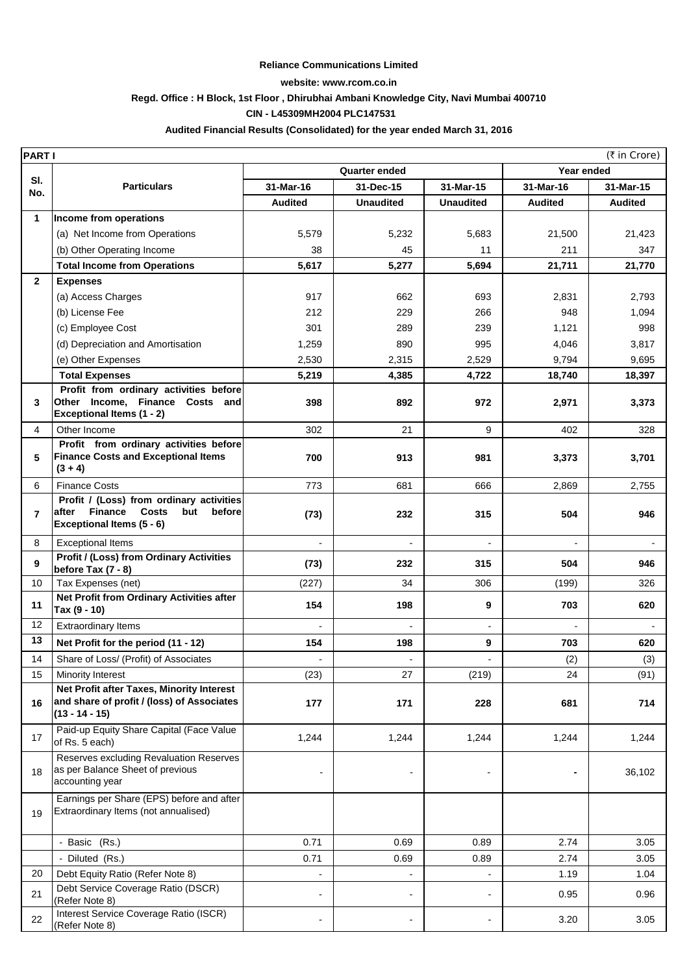#### **Reliance Communications Limited**

### **website: www.rcom.co.in**

### **Regd. Office : H Block, 1st Floor , Dhirubhai Ambani Knowledge City, Navi Mumbai 400710**

### **CIN - L45309MH2004 PLC147531**

### **Audited Financial Results (Consolidated) for the year ended March 31, 2016**

|                | <b>PARTI</b><br>(₹ in Crore)                                                            |                          |                          |                          |                          |                |  |
|----------------|-----------------------------------------------------------------------------------------|--------------------------|--------------------------|--------------------------|--------------------------|----------------|--|
|                |                                                                                         | <b>Quarter ended</b>     |                          |                          |                          | Year ended     |  |
| SI.<br>No.     | <b>Particulars</b>                                                                      | 31-Mar-16                | 31-Dec-15                | 31-Mar-15                | 31-Mar-16                | 31-Mar-15      |  |
|                |                                                                                         | <b>Audited</b>           | <b>Unaudited</b>         | <b>Unaudited</b>         | <b>Audited</b>           | <b>Audited</b> |  |
| $\mathbf{1}$   | Income from operations                                                                  |                          |                          |                          |                          |                |  |
|                | (a) Net Income from Operations                                                          | 5,579                    | 5,232                    | 5,683                    | 21,500                   | 21,423         |  |
|                | (b) Other Operating Income                                                              | 38                       | 45                       | 11                       | 211                      | 347            |  |
|                | <b>Total Income from Operations</b>                                                     | 5,617                    | 5,277                    | 5,694                    | 21,711                   | 21,770         |  |
| $\mathbf{2}$   | <b>Expenses</b>                                                                         |                          |                          |                          |                          |                |  |
|                | (a) Access Charges                                                                      | 917                      | 662                      | 693                      | 2,831                    | 2,793          |  |
|                | (b) License Fee                                                                         | 212                      | 229                      | 266                      | 948                      | 1,094          |  |
|                | (c) Employee Cost                                                                       | 301                      | 289                      | 239                      | 1,121                    | 998            |  |
|                | (d) Depreciation and Amortisation                                                       | 1,259                    | 890                      | 995                      | 4,046                    | 3,817          |  |
|                | (e) Other Expenses                                                                      | 2,530                    | 2,315                    | 2,529                    | 9,794                    | 9,695          |  |
|                | <b>Total Expenses</b>                                                                   | 5,219                    | 4,385                    | 4,722                    | 18,740                   | 18,397         |  |
|                | Profit from ordinary activities before                                                  |                          |                          |                          |                          |                |  |
| 3              | Other Income, Finance Costs and<br>Exceptional Items (1 - 2)                            | 398                      | 892                      | 972                      | 2,971                    | 3,373          |  |
| 4              | Other Income                                                                            | 302                      | 21                       | 9                        | 402                      | 328            |  |
|                | Profit from ordinary activities before                                                  |                          |                          |                          |                          |                |  |
| 5              | <b>Finance Costs and Exceptional Items</b>                                              | 700                      | 913                      | 981                      | 3,373                    | 3,701          |  |
|                | $(3 + 4)$                                                                               |                          |                          |                          |                          |                |  |
| 6              | <b>Finance Costs</b>                                                                    | 773                      | 681                      | 666                      | 2,869                    | 2,755          |  |
|                | Profit / (Loss) from ordinary activities                                                |                          |                          |                          |                          |                |  |
| $\overline{7}$ | <b>Finance</b><br><b>Costs</b><br>after<br>but<br>before<br>Exceptional Items (5 - 6)   | (73)                     | 232                      | 315                      | 504                      | 946            |  |
|                |                                                                                         | $\overline{a}$           | $\overline{a}$           |                          |                          | $\blacksquare$ |  |
| 8              | <b>Exceptional Items</b><br>Profit / (Loss) from Ordinary Activities                    |                          |                          | $\overline{\phantom{a}}$ | $\overline{\phantom{a}}$ |                |  |
| 9              | before Tax $(7 - 8)$                                                                    | (73)                     | 232                      | 315                      | 504                      | 946            |  |
| 10             | Tax Expenses (net)                                                                      | (227)                    | 34                       | 306                      | (199)                    | 326            |  |
| 11             | Net Profit from Ordinary Activities after                                               | 154                      | 198                      | 9                        | 703                      | 620            |  |
| 12             | Tax (9 - 10)                                                                            |                          |                          |                          |                          |                |  |
|                | <b>Extraordinary Items</b>                                                              |                          |                          | $\overline{\phantom{a}}$ | $\overline{\phantom{a}}$ |                |  |
| 13             | Net Profit for the period (11 - 12)                                                     | 154                      | 198                      | 9                        | 703                      | 620            |  |
| 14             | Share of Loss/ (Profit) of Associates                                                   | $\overline{\phantom{a}}$ | $\overline{\phantom{a}}$ | $\overline{\phantom{a}}$ | (2)                      | (3)            |  |
| 15             | Minority Interest                                                                       | (23)                     | 27                       | (219)                    | 24                       | (91)           |  |
|                | Net Profit after Taxes, Minority Interest<br>and share of profit / (loss) of Associates |                          |                          |                          |                          |                |  |
| 16             | $(13 - 14 - 15)$                                                                        | 177                      | 171                      | 228                      | 681                      | 714            |  |
|                | Paid-up Equity Share Capital (Face Value                                                |                          |                          |                          |                          |                |  |
| 17             | of Rs. 5 each)                                                                          | 1,244                    | 1,244                    | 1,244                    | 1,244                    | 1,244          |  |
|                | Reserves excluding Revaluation Reserves                                                 |                          |                          |                          |                          |                |  |
| 18             | as per Balance Sheet of previous<br>accounting year                                     |                          | $\overline{a}$           | $\overline{\phantom{a}}$ | $\blacksquare$           | 36,102         |  |
|                |                                                                                         |                          |                          |                          |                          |                |  |
|                | Earnings per Share (EPS) before and after<br>Extraordinary Items (not annualised)       |                          |                          |                          |                          |                |  |
| 19             |                                                                                         |                          |                          |                          |                          |                |  |
|                | - Basic (Rs.)                                                                           | 0.71                     | 0.69                     | 0.89                     | 2.74                     | 3.05           |  |
|                | - Diluted (Rs.)                                                                         | 0.71                     | 0.69                     | 0.89                     | 2.74                     | 3.05           |  |
| 20             | Debt Equity Ratio (Refer Note 8)                                                        |                          | $\overline{a}$           | $\overline{\phantom{0}}$ | 1.19                     | 1.04           |  |
|                | Debt Service Coverage Ratio (DSCR)                                                      |                          |                          |                          |                          |                |  |
| 21             | (Refer Note 8)                                                                          | $\overline{a}$           | $\overline{\phantom{a}}$ | $\overline{\phantom{a}}$ | 0.95                     | 0.96           |  |
| 22             | Interest Service Coverage Ratio (ISCR)                                                  |                          |                          | $\overline{a}$           | 3.20                     | 3.05           |  |
|                | (Refer Note 8)                                                                          |                          |                          |                          |                          |                |  |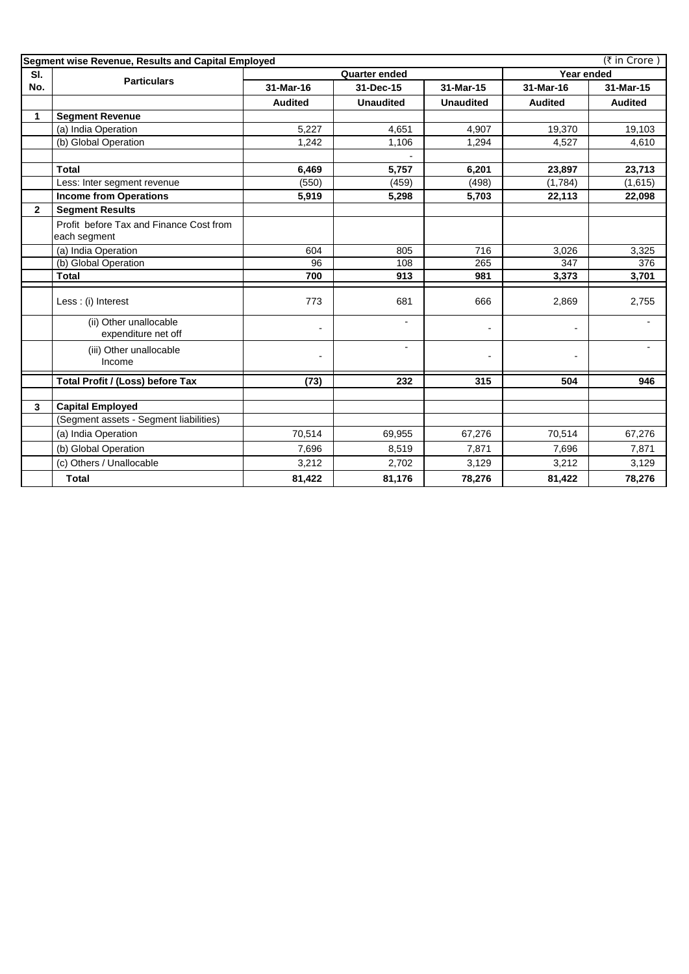|              | (₹ in Crore)<br>Segment wise Revenue, Results and Capital Employed |                      |                          |                  |                |                |  |
|--------------|--------------------------------------------------------------------|----------------------|--------------------------|------------------|----------------|----------------|--|
| SI.          |                                                                    | <b>Quarter ended</b> |                          |                  | Year ended     |                |  |
| No.          | <b>Particulars</b>                                                 | 31-Mar-16            | 31-Dec-15                | 31-Mar-15        | 31-Mar-16      | 31-Mar-15      |  |
|              |                                                                    | <b>Audited</b>       | <b>Unaudited</b>         | <b>Unaudited</b> | <b>Audited</b> | <b>Audited</b> |  |
| 1            | <b>Segment Revenue</b>                                             |                      |                          |                  |                |                |  |
|              | (a) India Operation                                                | 5,227                | 4,651                    | 4,907            | 19,370         | 19,103         |  |
|              | (b) Global Operation                                               | 1,242                | 1,106                    | 1,294            | 4,527          | 4,610          |  |
|              |                                                                    |                      |                          |                  |                |                |  |
|              | <b>Total</b>                                                       | 6,469                | 5,757                    | 6,201            | 23,897         | 23,713         |  |
|              | Less: Inter segment revenue                                        | (550)                | (459)                    | (498)            | (1,784)        | (1,615)        |  |
|              | <b>Income from Operations</b>                                      | 5,919                | 5,298                    | 5,703            | 22,113         | 22,098         |  |
| $\mathbf{2}$ | <b>Segment Results</b>                                             |                      |                          |                  |                |                |  |
|              | Profit before Tax and Finance Cost from<br>each segment            |                      |                          |                  |                |                |  |
|              | (a) India Operation                                                | 604                  | 805                      | 716              | 3,026          | 3,325          |  |
|              | (b) Global Operation                                               | 96                   | 108                      | 265              | 347            | 376            |  |
|              | <b>Total</b>                                                       | 700                  | 913                      | 981              | 3,373          | 3,701          |  |
|              | Less : (i) Interest                                                | 773                  | 681                      | 666              | 2,869          | 2,755          |  |
|              | (ii) Other unallocable<br>expenditure net off                      |                      | $\overline{\phantom{a}}$ | $\overline{a}$   | $\blacksquare$ |                |  |
|              | (iii) Other unallocable<br>Income                                  |                      | $\blacksquare$           | $\overline{a}$   | $\overline{a}$ |                |  |
|              | Total Profit / (Loss) before Tax                                   | (73)                 | 232                      | 315              | 504            | 946            |  |
|              |                                                                    |                      |                          |                  |                |                |  |
| 3            | <b>Capital Employed</b>                                            |                      |                          |                  |                |                |  |
|              | (Segment assets - Segment liabilities)                             |                      |                          |                  |                |                |  |
|              | (a) India Operation                                                | 70,514               | 69,955                   | 67,276           | 70,514         | 67,276         |  |
|              | (b) Global Operation                                               | 7,696                | 8,519                    | 7,871            | 7,696          | 7,871          |  |
|              | (c) Others / Unallocable                                           | 3,212                | 2,702                    | 3,129            | 3,212          | 3,129          |  |
|              | Total                                                              | 81,422               | 81,176                   | 78,276           | 81,422         | 78,276         |  |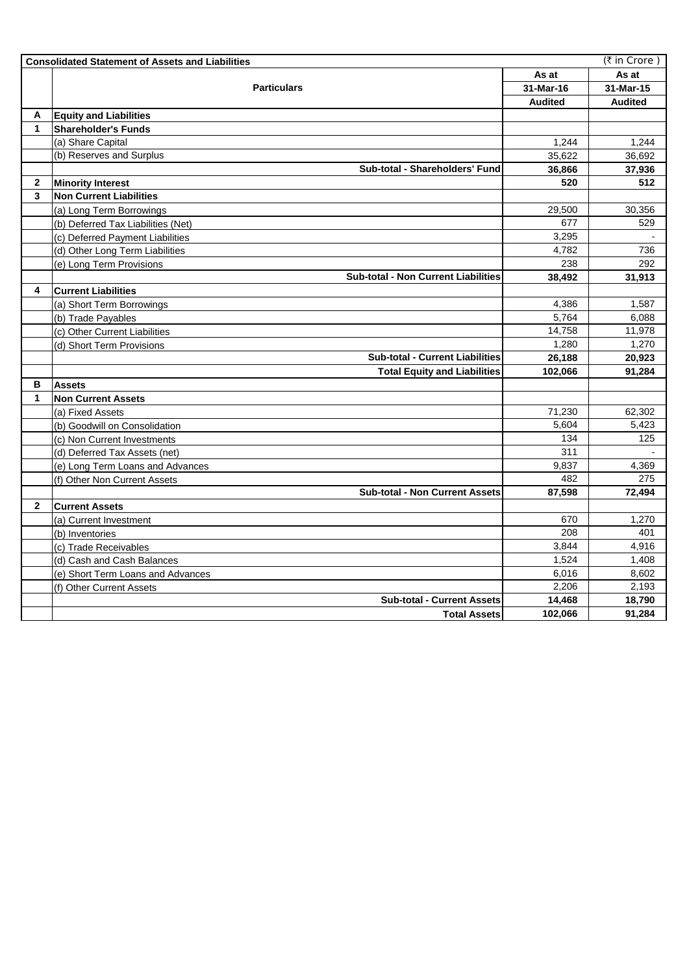|              | <b>Consolidated Statement of Assets and Liabilities</b> |                | (₹ in Crore)   |
|--------------|---------------------------------------------------------|----------------|----------------|
|              |                                                         | As at          | As at          |
|              | <b>Particulars</b>                                      | 31-Mar-16      | 31-Mar-15      |
|              |                                                         | <b>Audited</b> | <b>Audited</b> |
| A            | <b>Equity and Liabilities</b>                           |                |                |
| 1            | <b>Shareholder's Funds</b>                              |                |                |
|              | (a) Share Capital                                       | 1,244          | 1,244          |
|              | (b) Reserves and Surplus                                | 35,622         | 36,692         |
|              | Sub-total - Shareholders' Fund                          | 36,866         | 37,936         |
| $\mathbf{2}$ | <b>Minority Interest</b>                                | 520            | 512            |
| 3            | <b>Non Current Liabilities</b>                          |                |                |
|              | (a) Long Term Borrowings                                | 29,500         | 30,356         |
|              | (b) Deferred Tax Liabilities (Net)                      | 677            | 529            |
|              | (c) Deferred Payment Liabilities                        | 3,295          |                |
|              | (d) Other Long Term Liabilities                         | 4,782          | 736            |
|              | (e) Long Term Provisions                                | 238            | 292            |
|              | <b>Sub-total - Non Current Liabilities</b>              | 38,492         | 31,913         |
| 4            | <b>Current Liabilities</b>                              |                |                |
|              | (a) Short Term Borrowings                               | 4,386          | 1,587          |
|              | (b) Trade Payables                                      | 5,764          | 6,088          |
|              | (c) Other Current Liabilities                           | 14,758         | 11,978         |
|              | (d) Short Term Provisions                               | 1,280          | 1,270          |
|              | <b>Sub-total - Current Liabilities</b>                  | 26,188         | 20,923         |
|              | <b>Total Equity and Liabilities</b>                     | 102,066        | 91,284         |
| в            | <b>Assets</b>                                           |                |                |
| 1            | <b>Non Current Assets</b>                               |                |                |
|              | (a) Fixed Assets                                        | 71,230         | 62,302         |
|              | (b) Goodwill on Consolidation                           | 5,604          | 5,423          |
|              | (c) Non Current Investments                             | 134            | 125            |
|              | (d) Deferred Tax Assets (net)                           | 311            |                |
|              | (e) Long Term Loans and Advances                        | 9,837          | 4,369          |
|              | (f) Other Non Current Assets                            | 482            | 275            |
|              | <b>Sub-total - Non Current Assets</b>                   | 87,598         | 72,494         |
| $\mathbf{2}$ | <b>Current Assets</b>                                   |                |                |
|              | (a) Current Investment                                  | 670            | 1,270          |
|              | (b) Inventories                                         | 208            | 401            |
|              | (c) Trade Receivables                                   | 3,844          | 4,916          |
|              | (d) Cash and Cash Balances                              | 1,524          | 1,408          |
|              | (e) Short Term Loans and Advances                       | 6,016          | 8,602          |
|              | (f) Other Current Assets                                | 2,206          | 2,193          |
|              | <b>Sub-total - Current Assets</b>                       | 14,468         | 18,790         |
|              | <b>Total Assets</b>                                     | 102,066        | 91,284         |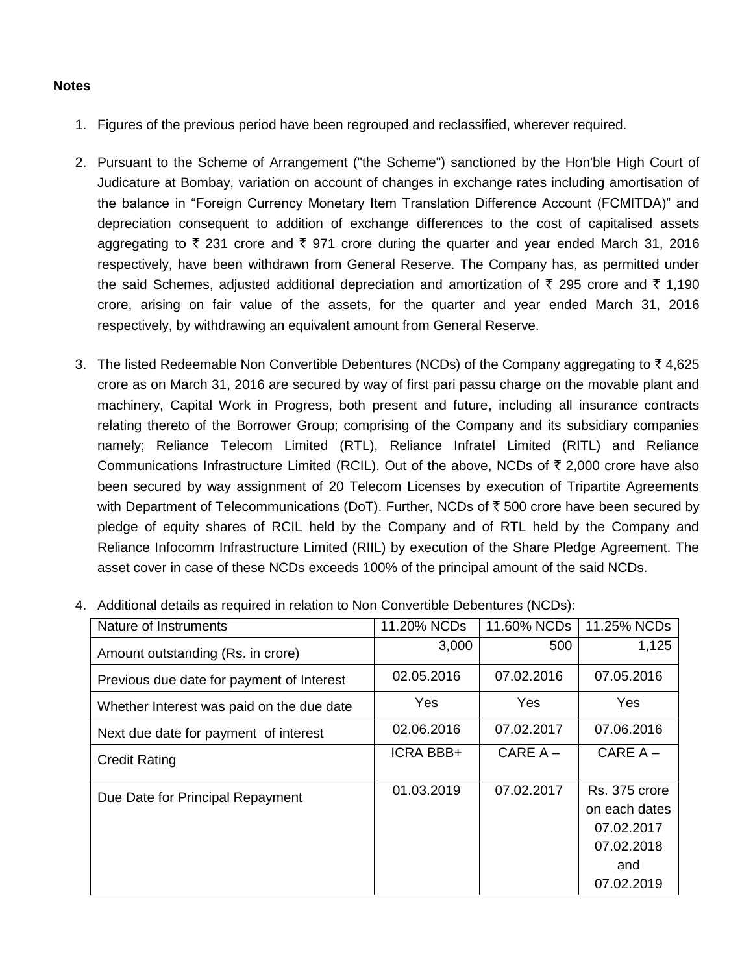## **Notes**

- 1. Figures of the previous period have been regrouped and reclassified, wherever required.
- 2. Pursuant to the Scheme of Arrangement ("the Scheme") sanctioned by the Hon'ble High Court of Judicature at Bombay, variation on account of changes in exchange rates including amortisation of the balance in "Foreign Currency Monetary Item Translation Difference Account (FCMITDA)" and depreciation consequent to addition of exchange differences to the cost of capitalised assets aggregating to  $\bar{\tau}$  231 crore and  $\bar{\tau}$  971 crore during the quarter and year ended March 31, 2016 respectively, have been withdrawn from General Reserve. The Company has, as permitted under the said Schemes, adjusted additional depreciation and amortization of  $\bar{\tau}$  295 crore and  $\bar{\tau}$  1,190 crore, arising on fair value of the assets, for the quarter and year ended March 31, 2016 respectively, by withdrawing an equivalent amount from General Reserve.
- 3. The listed Redeemable Non Convertible Debentures (NCDs) of the Company aggregating to  $\bar{z}$  4,625 crore as on March 31, 2016 are secured by way of first pari passu charge on the movable plant and machinery, Capital Work in Progress, both present and future, including all insurance contracts relating thereto of the Borrower Group; comprising of the Company and its subsidiary companies namely; Reliance Telecom Limited (RTL), Reliance Infratel Limited (RITL) and Reliance Communications Infrastructure Limited (RCIL). Out of the above, NCDs of  $\bar{\tau}$  2,000 crore have also been secured by way assignment of 20 Telecom Licenses by execution of Tripartite Agreements with Department of Telecommunications (DoT). Further, NCDs of  $\bar{\tau}$  500 crore have been secured by pledge of equity shares of RCIL held by the Company and of RTL held by the Company and Reliance Infocomm Infrastructure Limited (RIIL) by execution of the Share Pledge Agreement. The asset cover in case of these NCDs exceeds 100% of the principal amount of the said NCDs.

| Nature of Instruments                     | 11.20% NCDs      | 11.60% NCDs | 11.25% NCDs                                                                     |
|-------------------------------------------|------------------|-------------|---------------------------------------------------------------------------------|
| Amount outstanding (Rs. in crore)         | 3,000            | 500         | 1,125                                                                           |
| Previous due date for payment of Interest | 02.05.2016       | 07.02.2016  | 07.05.2016                                                                      |
| Whether Interest was paid on the due date | <b>Yes</b>       | <b>Yes</b>  | Yes                                                                             |
| Next due date for payment of interest     | 02.06.2016       | 07.02.2017  | 07.06.2016                                                                      |
| <b>Credit Rating</b>                      | <b>ICRA BBB+</b> | CARE $A -$  | $CARE A -$                                                                      |
| Due Date for Principal Repayment          | 01.03.2019       | 07.02.2017  | Rs. 375 crore<br>on each dates<br>07.02.2017<br>07.02.2018<br>and<br>07.02.2019 |

4. Additional details as required in relation to Non Convertible Debentures (NCDs):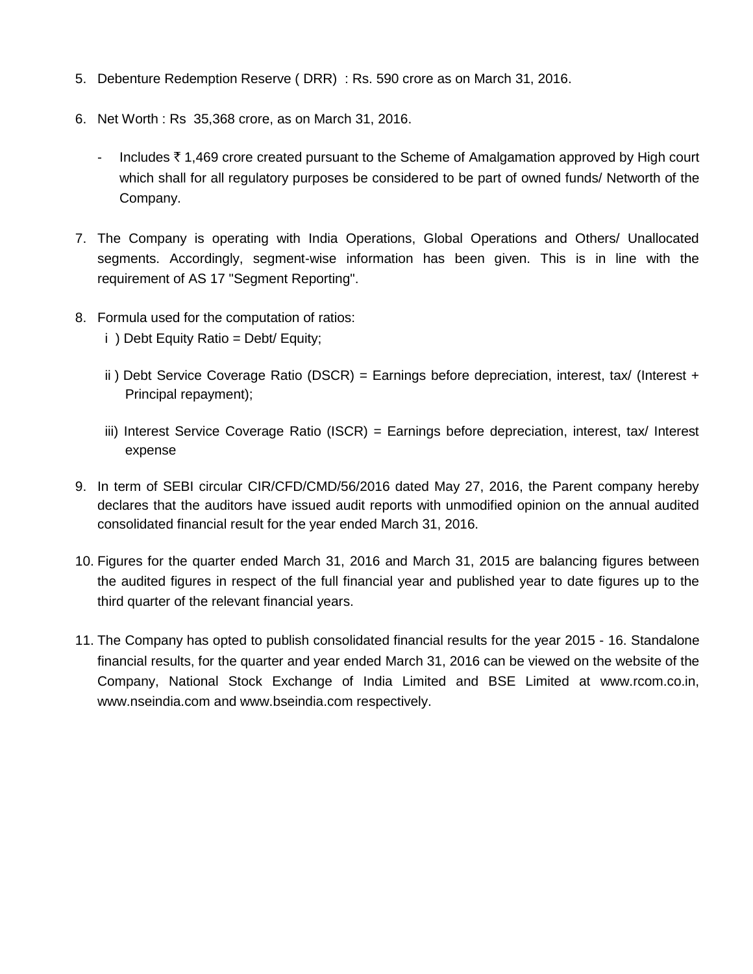- 5. Debenture Redemption Reserve ( DRR) : Rs. 590 crore as on March 31, 2016.
- 6. Net Worth : Rs 35,368 crore, as on March 31, 2016.
	- Includes  $\bar{\tau}$  1,469 crore created pursuant to the Scheme of Amalgamation approved by High court which shall for all regulatory purposes be considered to be part of owned funds/ Networth of the Company.
- 7. The Company is operating with India Operations, Global Operations and Others/ Unallocated segments. Accordingly, segment-wise information has been given. This is in line with the requirement of AS 17 "Segment Reporting".
- 8. Formula used for the computation of ratios:
	- i ) Debt Equity Ratio = Debt/ Equity;
	- ii) Debt Service Coverage Ratio (DSCR) = Earnings before depreciation, interest, tax/ (Interest + Principal repayment);
	- iii) Interest Service Coverage Ratio (ISCR) = Earnings before depreciation, interest, tax/ Interest expense
- 9. In term of SEBI circular CIR/CFD/CMD/56/2016 dated May 27, 2016, the Parent company hereby declares that the auditors have issued audit reports with unmodified opinion on the annual audited consolidated financial result for the year ended March 31, 2016.
- 10. Figures for the quarter ended March 31, 2016 and March 31, 2015 are balancing figures between the audited figures in respect of the full financial year and published year to date figures up to the third quarter of the relevant financial years.
- 11. The Company has opted to publish consolidated financial results for the year 2015 16. Standalone financial results, for the quarter and year ended March 31, 2016 can be viewed on the website of the Company, National Stock Exchange of India Limited and BSE Limited at www.rcom.co.in, www.nseindia.com and www.bseindia.com respectively.